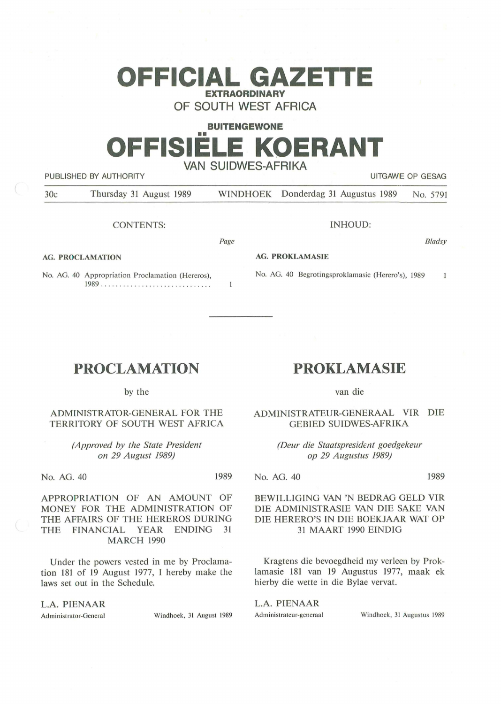# **OFFICIAL GAZETTE EXTRAORDINARY**

**OF SOUTH WEST AFRICA** 

## **BUITENGEWONE**  •• **OFFISIELE KOERANT VAN SUIDWES-AFRIKA**

PUBLISHED BY AUTHORITY **EXECUTE A SECOND TEST OF SECOND PUBLISHED BY AUTHORITY UITGAWE OP GESAG** 

**AG. PROCLAMATION** 

30c Thursday 31 August 1989 WINDHOEK Donderdag 31 Augustus 1989 No. 5791

*Page* 

 $\mathbf{1}$ 

CONTENTS:

INHOUD:

No. AG. 40 Begrotingsproklamasie (Herero's), 1989

Bladsy

 $\mathbf{1}$ 

#### **AG. PROKLAMASIE**

No. AG. 40 Appropriation Proclamation (Hereros), 1989 . .. .. .............. . .. . ...... .

by the

**PROCLAMATION** 

### ADMINISTRATOR-GENERAL FOR THE TERRITORY OF SOUTH WEST AFRICA

*{Approved by the State President on 29 August 1989)* 

No. AG. 40 1989

APPROPRIATION OF AN AMOUNT OF MONEY FOR THE ADMINISTRATION OF THE AFFAIRS OF THE HEREROS DURING THE FINANCIAL YEAR ENDING 31 **MARCH** 1990

Under the powers vested in me by Proclamation 181 of 19 August 1977, I hereby make the laws set out in the Schedule.

**L.A. PIENAAR** 

Administrator-General Windhoek, 31 August 1989

## **PROKLAMASIE**

van die

ADMINISTRATEUR-GENERAAL VIR DIE GEBIED SUIDWES-AFRIKA

> *(Deur die Staatspresident goedgekeur op 29 Augustus 1989)*

No. AG. 40 1989

#### BEWILLIGING VAN 'N BEDRAG GELD VIR DIE ADMINISTRASIE VAN DIE SAKE VAN DIE HERERO'S IN DIE BOEKJAAR WAT OP 31 MAART 1990 EINDIG

Kragtens die bevoegdheid my verleen by Proklamasie 181 van 19 Augustus 1977, maak ek hierby die wette in die Bylae vervat.

L.A. PIENAAR Administrateur-generaal Windhoek, 31 Augustus 1989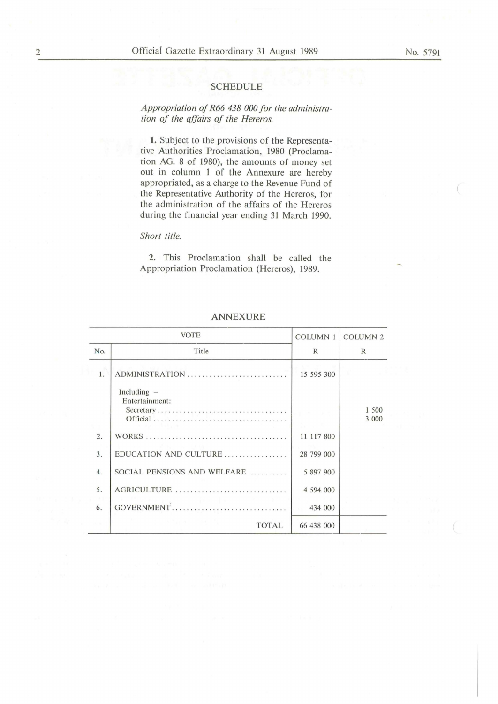#### SCHEDULE

### *Appropriation of R66 438 000 for the administration of the affairs of the Hereros.*

1. Subject to the provisions of the Representative Authorities Proclamation, 1980 (Proclamation AG. 8 of 1980), the amounts of money set out in column 1 of the Annexure are hereby appropriated, as a charge to the Revenue Fund of the Representative Authority of the Hereros, for the administration of the affairs of the Hereros during the financial year ending 31 March 1990.

#### *Short title.*

2. This Proclamation shall be called the Appropriation Proclamation (Hereros), 1989.

|     | <b>VOTE</b>                                  | <b>COLUMN 1</b> | <b>COLUMN 2</b> |
|-----|----------------------------------------------|-----------------|-----------------|
| No. | Title                                        | $\mathbb{R}$    | $\mathbb{R}$    |
| 1.  | ADMINISTRATION                               | 15 595 300      |                 |
|     | Including $-$<br>Entertainment:<br>Secretary |                 | 1 500<br>3 000  |
| 2.  |                                              | 11 117 800      |                 |
| 3.  | EDUCATION AND CULTURE                        | 28 799 000      |                 |
| 4.  | SOCIAL PENSIONS AND WELFARE                  | 5 897 900       |                 |
| 5.  | AGRICULTURE                                  | 4 594 000       |                 |
| 6.  | GOVERNMENT                                   | 434 000         |                 |
|     | <b>TOTAL</b>                                 | 66 438 000      |                 |

ANNEXURE